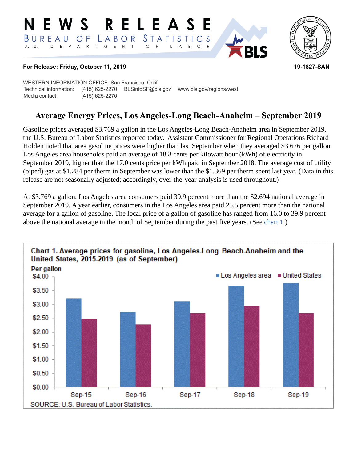#### RELEASE E W S *STATISTICS* LABOR BUREAU  $\overline{O}$  F D E P A R T M E N T  $\circ$  $U. S.$  $\overline{F}$  $B$  $\circ$ L A



## **For Release: Friday, October 11, 2019 19-1827-SAN**

WESTERN INFORMATION OFFICE: San Francisco, Calif. Technical information: (415) 625-2270 BLSinfoSF@bls.gov www.bls.gov/regions/west Media contact: (415) 625-2270

# **Average Energy Prices, Los Angeles-Long Beach-Anaheim – September 2019**

Gasoline prices averaged \$3.769 a gallon in the Los Angeles-Long Beach-Anaheim area in September 2019, the U.S. Bureau of Labor Statistics reported today. Assistant Commissioner for Regional Operations Richard Holden noted that area gasoline prices were higher than last September when they averaged \$3.676 per gallon. Los Angeles area households paid an average of 18.8 cents per kilowatt hour (kWh) of electricity in September 2019, higher than the 17.0 cents price per kWh paid in September 2018. The average cost of utility (piped) gas at \$1.284 per therm in September was lower than the \$1.369 per therm spent last year. (Data in this release are not seasonally adjusted; accordingly, over-the-year-analysis is used throughout.)

At \$3.769 a gallon, Los Angeles area consumers paid 39.9 percent more than the \$2.694 national average in September 2019. A year earlier, consumers in the Los Angeles area paid 25.5 percent more than the national average for a gallon of gasoline. The local price of a gallon of gasoline has ranged from 16.0 to 39.9 percent above the national average in the month of September during the past five years. (See [chart 1](#page-0-0).)

<span id="page-0-0"></span>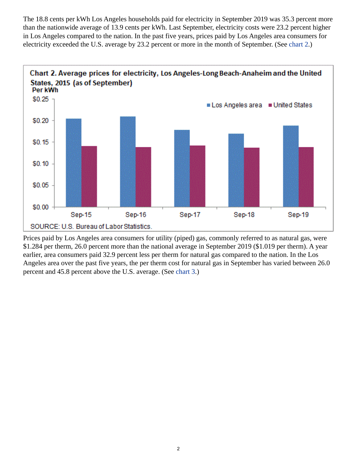The 18.8 cents per kWh Los Angeles households paid for electricity in September 2019 was 35.3 percent more than the nationwide average of 13.9 cents per kWh. Last September, electricity costs were 23.2 percent higher in Los Angeles compared to the nation. In the past five years, prices paid by Los Angeles area consumers for electricity exceeded the U.S. average by 23.2 percent or more in the month of September. (See [chart 2.](#page-1-0))

<span id="page-1-0"></span>

<span id="page-1-1"></span>Prices paid by Los Angeles area consumers for utility (piped) gas, commonly referred to as natural gas, were \$1.284 per therm, 26.0 percent more than the national average in September 2019 (\$1.019 per therm). A year earlier, area consumers paid 32.9 percent less per therm for natural gas compared to the nation. In the Los Angeles area over the past five years, the per therm cost for natural gas in September has varied between 26.0 percent and 45.8 percent above the U.S. average. (See [chart 3.](#page-1-1))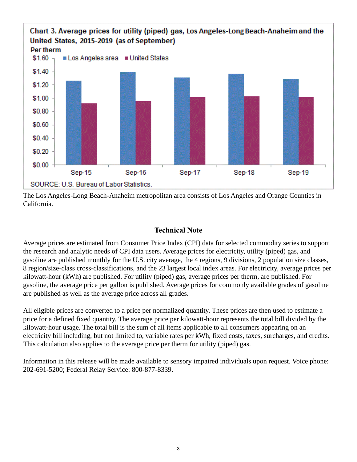

The Los Angeles-Long Beach-Anaheim metropolitan area consists of Los Angeles and Orange Counties in California.

## **Technical Note**

Average prices are estimated from Consumer Price Index (CPI) data for selected commodity series to support the research and analytic needs of CPI data users. Average prices for electricity, utility (piped) gas, and gasoline are published monthly for the U.S. city average, the 4 regions, 9 divisions, 2 population size classes, 8 region/size-class cross-classifications, and the 23 largest local index areas. For electricity, average prices per kilowatt-hour (kWh) are published. For utility (piped) gas, average prices per therm, are published. For gasoline, the average price per gallon is published. Average prices for commonly available grades of gasoline are published as well as the average price across all grades.

All eligible prices are converted to a price per normalized quantity. These prices are then used to estimate a price for a defined fixed quantity. The average price per kilowatt-hour represents the total bill divided by the kilowatt-hour usage. The total bill is the sum of all items applicable to all consumers appearing on an electricity bill including, but not limited to, variable rates per kWh, fixed costs, taxes, surcharges, and credits. This calculation also applies to the average price per therm for utility (piped) gas.

Information in this release will be made available to sensory impaired individuals upon request. Voice phone: 202-691-5200; Federal Relay Service: 800-877-8339.